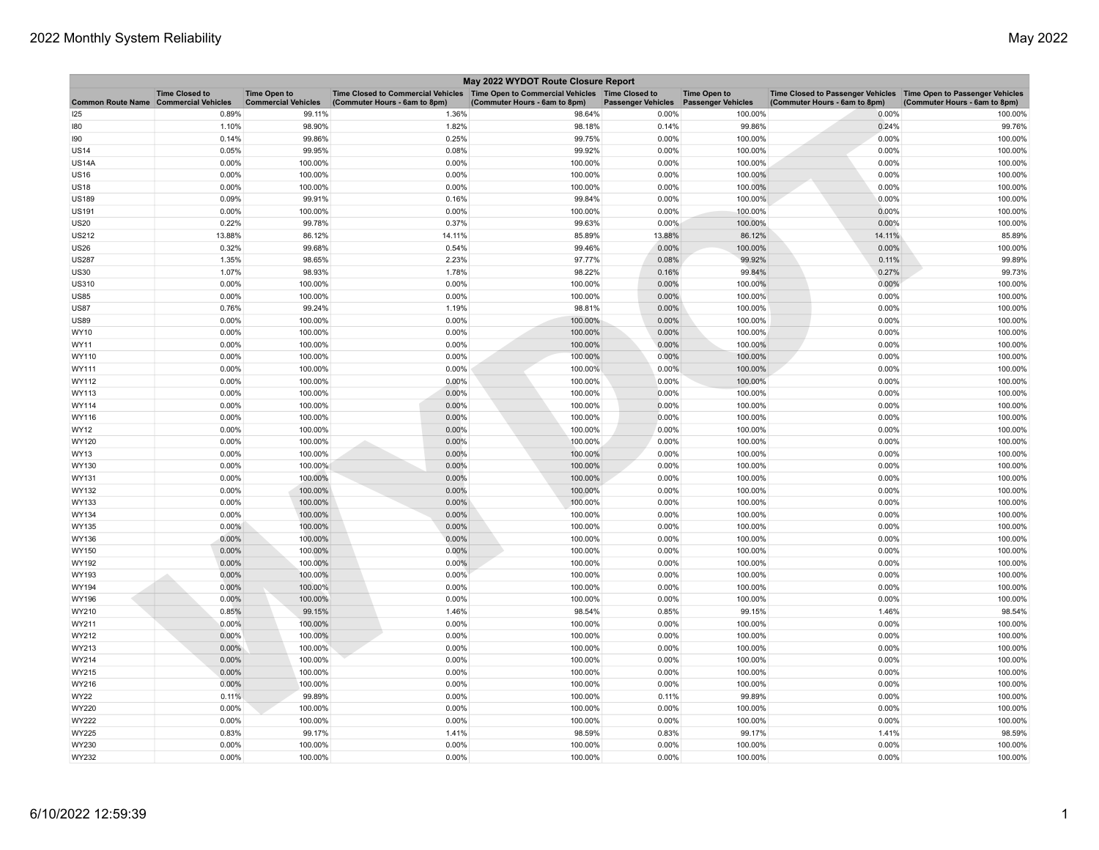| Time Closed to Commercial Vehicles   Time Open to Commercial Vehicles   Time Closed to<br><b>Time Closed to</b><br><b>Time Open to</b><br><b>Time Open to</b><br><b>Common Route Name Commercial Vehicles</b><br><b>Commercial Vehicles</b><br>(Commuter Hours - 6am to 8pm)<br>(Commuter Hours - 6am to 8pm)<br><b>Passenger Vehicles</b><br><b>Passenger Vehicles</b> | Time Closed to Passenger Vehicles   Time Open to Passenger Vehicles<br>(Commuter Hours - 6am to 8pm)<br>(Commuter Hours - 6am to 8pm) |
|-------------------------------------------------------------------------------------------------------------------------------------------------------------------------------------------------------------------------------------------------------------------------------------------------------------------------------------------------------------------------|---------------------------------------------------------------------------------------------------------------------------------------|
| 0.89%<br>99.11%<br>0.00%<br>100.00%<br>125<br>1.36%<br>98.64%                                                                                                                                                                                                                                                                                                           | 0.00%<br>100.00%                                                                                                                      |
| 98.90%<br>99.86%<br>180<br>1.10%<br>1.82%<br>98.18%<br>0.14%                                                                                                                                                                                                                                                                                                            | 0.24%<br>99.76%                                                                                                                       |
| 190<br>0.14%<br>99.86%<br>0.25%<br>99.75%<br>0.00%<br>100.00%                                                                                                                                                                                                                                                                                                           | 0.00%<br>100.00%                                                                                                                      |
| <b>US14</b><br>0.05%<br>99.95%<br>0.08%<br>99.92%<br>0.00%<br>100.00%                                                                                                                                                                                                                                                                                                   | 0.00%<br>100.00%                                                                                                                      |
| 0.00%<br>100.00%<br>0.00%<br>100.00%<br>0.00%<br>100.00%<br><b>US14A</b>                                                                                                                                                                                                                                                                                                | 100.00%<br>0.00%                                                                                                                      |
| 0.00%<br>100.00%<br>0.00%<br>100.00%<br>0.00%<br>100.00%<br><b>US16</b>                                                                                                                                                                                                                                                                                                 | 0.00%<br>100.00%                                                                                                                      |
| 0.00%<br>100.00%<br>0.00%<br>100.00%<br>0.00%<br>100.00%<br><b>US18</b>                                                                                                                                                                                                                                                                                                 | 0.00%<br>100.00%                                                                                                                      |
| <b>US189</b><br>0.09%<br>99.91%<br>0.16%<br>99.84%<br>0.00%<br>100.00%                                                                                                                                                                                                                                                                                                  | 0.00%<br>100.00%                                                                                                                      |
| 0.00%<br>100.00%<br>0.00%<br>100.00%<br>0.00%<br>100.00%<br><b>US191</b>                                                                                                                                                                                                                                                                                                | 0.00%<br>100.00%                                                                                                                      |
| 99.78%<br><b>US20</b><br>0.22%<br>0.37%<br>99.63%<br>0.00%<br>100.00%                                                                                                                                                                                                                                                                                                   | 0.00%<br>100.00%                                                                                                                      |
| 86.12%<br>13.88%<br>14.11%<br>85.89%<br>13.88%<br>86.12%<br><b>US212</b>                                                                                                                                                                                                                                                                                                | 14.11%<br>85.89%                                                                                                                      |
| 0.32%<br>99.68%<br>0.54%<br>99.46%<br>0.00%<br><b>US26</b><br>100.00%                                                                                                                                                                                                                                                                                                   | 0.00%<br>100.00%                                                                                                                      |
| <b>US287</b><br>1.35%<br>98.65%<br>2.23%<br>97.77%<br>0.08%<br>99.92%                                                                                                                                                                                                                                                                                                   | 0.11%<br>99.89%                                                                                                                       |
| 98.93%<br>98.22%<br>99.84%<br>1.07%<br>1.78%<br>0.16%<br><b>US30</b>                                                                                                                                                                                                                                                                                                    | 0.27%<br>99.73%                                                                                                                       |
| 0.00%<br>100.00%<br>0.00%<br>100.00%<br>0.00%<br>100.00%<br>US310                                                                                                                                                                                                                                                                                                       | 0.00%<br>100.00%                                                                                                                      |
| 0.00%<br>100.00%<br>0.00%<br>100.00%<br>0.00%<br>100.00%<br><b>US85</b>                                                                                                                                                                                                                                                                                                 | 0.00%<br>100.00%                                                                                                                      |
| <b>US87</b><br>0.76%<br>99.24%<br>1.19%<br>98.81%<br>0.00%<br>100.00%                                                                                                                                                                                                                                                                                                   | 0.00%<br>100.00%                                                                                                                      |
| 0.00%<br><b>US89</b><br>0.00%<br>100.00%<br>100.00%<br>0.00%<br>100.00%                                                                                                                                                                                                                                                                                                 | 0.00%<br>100.00%                                                                                                                      |
| WY10<br>0.00%<br>100.00%<br>0.00%<br>100.00%<br>0.00%<br>100.00%                                                                                                                                                                                                                                                                                                        | 0.00%<br>100.00%                                                                                                                      |
| 0.00%<br>100.00%<br>0.00%<br>100.00%<br>0.00%<br>100.00%<br>WY11                                                                                                                                                                                                                                                                                                        | 0.00%<br>100.00%                                                                                                                      |
| WY110<br>0.00%<br>100.00%<br>0.00%<br>100.00%<br>0.00%<br>100.00%                                                                                                                                                                                                                                                                                                       | 0.00%<br>100.00%                                                                                                                      |
| 0.00%<br>100.00%<br>0.00%<br>100.00%<br>0.00%<br>100.00%<br>WY111                                                                                                                                                                                                                                                                                                       | 0.00%<br>100.00%                                                                                                                      |
| WY112<br>0.00%<br>100.00%<br>0.00%<br>100.00%<br>0.00%<br>100.00%                                                                                                                                                                                                                                                                                                       | 0.00%<br>100.00%                                                                                                                      |
| 0.00%<br>100.00%<br>0.00%<br>100.00%<br>0.00%<br>100.00%<br>WY113                                                                                                                                                                                                                                                                                                       | 0.00%<br>100.00%                                                                                                                      |
| 0.00%<br>100.00%<br>0.00%<br>100.00%<br>WY114<br>0.00%<br>100.00%                                                                                                                                                                                                                                                                                                       | 0.00%<br>100.00%                                                                                                                      |
| 0.00%<br>100.00%<br>0.00%<br>100.00%<br>0.00%<br>100.00%<br>WY116                                                                                                                                                                                                                                                                                                       | 0.00%<br>100.00%                                                                                                                      |
| WY12<br>0.00%<br>100.00%<br>0.00%<br>100.00%<br>0.00%<br>100.00%                                                                                                                                                                                                                                                                                                        | 0.00%<br>100.00%                                                                                                                      |
| 0.00%<br>100.00%<br>0.00%<br>100.00%<br>0.00%<br>100.00%<br>WY120                                                                                                                                                                                                                                                                                                       | 0.00%<br>100.00%                                                                                                                      |
| 0.00%<br>100.00%<br>0.00%<br>100.00%<br>0.00%<br>WY13<br>100.00%                                                                                                                                                                                                                                                                                                        | 0.00%<br>100.00%                                                                                                                      |
| 0.00%<br>WY130<br>0.00%<br>100.00%<br>100.00%<br>0.00%<br>100.00%                                                                                                                                                                                                                                                                                                       | 0.00%<br>100.00%                                                                                                                      |
| 100.00%<br>WY131<br>0.00%<br>0.00%<br>100.00%<br>0.00%<br>100.00%                                                                                                                                                                                                                                                                                                       | 0.00%<br>100.00%                                                                                                                      |
| WY132<br>0.00%<br>100.00%<br>0.00%<br>100.00%<br>0.00%<br>100.00%<br>0.00%                                                                                                                                                                                                                                                                                              | 0.00%<br>100.00%                                                                                                                      |
| 0.00%<br>100.00%<br>0.00%<br>100.00%<br>WY133<br>100.00%<br>0.00%<br>100.00%<br>100.00%<br>0.00%<br>WY134<br>0.00%<br>100.00%                                                                                                                                                                                                                                           | 0.00%<br>100.00%<br>0.00%<br>100.00%                                                                                                  |
| WY135<br>$0.00\%$<br>100.00%<br>0.00%<br>100.00%<br>0.00%<br>100.00%                                                                                                                                                                                                                                                                                                    | 0.00%<br>100.00%                                                                                                                      |
| WY136<br>0.00%<br>100.00%<br>0.00%<br>100.00%<br>0.00%<br>100.00%                                                                                                                                                                                                                                                                                                       | 0.00%<br>100.00%                                                                                                                      |
| 0.00%<br>100.00%<br>0.00%<br>100.00%<br>0.00%<br>100.00%<br>WY150                                                                                                                                                                                                                                                                                                       | 0.00%<br>100.00%                                                                                                                      |
| 0.00%<br>0.00%<br>100.00%<br>0.00%<br>100.00%<br>WY192<br>100.00%                                                                                                                                                                                                                                                                                                       | 0.00%<br>100.00%                                                                                                                      |
| 0.00%<br>100.00%<br>0.00%<br>100.00%<br>0.00%<br>100.00%<br>WY193                                                                                                                                                                                                                                                                                                       | 0.00%<br>100.00%                                                                                                                      |
| 100.00%<br>WY194<br>0.00%<br>0.00%<br>100.00%<br>0.00%<br>100.00%                                                                                                                                                                                                                                                                                                       | 0.00%<br>100.00%                                                                                                                      |
| 0.00%<br>100.00%<br>0.00%<br>100.00%<br>0.00%<br>100.00%<br>WY196                                                                                                                                                                                                                                                                                                       | 0.00%<br>100.00%                                                                                                                      |
| 0.85%<br>99.15%<br>1.46%<br>0.85%<br>99.15%<br>WY210<br>98.54%                                                                                                                                                                                                                                                                                                          | 1.46%<br>98.54%                                                                                                                       |
| 0.00%<br>100.00%<br>0.00%<br>100.00%<br>0.00%<br>100.00%<br>WY211                                                                                                                                                                                                                                                                                                       | 0.00%<br>100.00%                                                                                                                      |
| 0.00%<br>100.00%<br>WY212<br>0.00%<br>100.00%<br>0.00%<br>100.00%                                                                                                                                                                                                                                                                                                       | 0.00%<br>100.00%                                                                                                                      |
| 0.00%<br>100.00%<br>0.00%<br>0.00%<br>100.00%<br>WY213<br>100.00%                                                                                                                                                                                                                                                                                                       | 0.00%<br>100.00%                                                                                                                      |
| 100.00%<br>0.00%<br>100.00%<br>0.00%<br>100.00%<br>WY214<br>0.00%                                                                                                                                                                                                                                                                                                       | 0.00%<br>100.00%                                                                                                                      |
| WY215<br>$0.00\%$<br>100.00%<br>0.00%<br>100.00%<br>0.00%<br>100.00%                                                                                                                                                                                                                                                                                                    | 0.00%<br>100.00%                                                                                                                      |
| 0.00%<br>100.00%<br>0.00%<br>0.00%<br>100.00%<br>WY216<br>100.00%                                                                                                                                                                                                                                                                                                       | 0.00%<br>100.00%                                                                                                                      |
| 0.11%<br>99.89%<br>0.00%<br>100.00%<br>0.11%<br>99.89%<br><b>WY22</b>                                                                                                                                                                                                                                                                                                   | 0.00%<br>100.00%                                                                                                                      |
| 0.00%<br>100.00%<br>0.00%<br>100.00%<br>0.00%<br>WY220<br>100.00%                                                                                                                                                                                                                                                                                                       | 0.00%<br>100.00%                                                                                                                      |
| <b>WY222</b><br>0.00%<br>100.00%<br>0.00%<br>100.00%<br>0.00%<br>100.00%                                                                                                                                                                                                                                                                                                | 0.00%<br>100.00%                                                                                                                      |
| 0.83%<br>99.17%<br>1.41%<br>98.59%<br>0.83%<br>99.17%<br><b>WY225</b>                                                                                                                                                                                                                                                                                                   | 1.41%<br>98.59%                                                                                                                       |
| WY230<br>0.00%<br>100.00%<br>0.00%<br>100.00%<br>0.00%<br>100.00%                                                                                                                                                                                                                                                                                                       | 0.00%<br>100.00%                                                                                                                      |
| 100.00%<br>100.00%<br>WY232<br>0.00%<br>0.00%<br>100.00%<br>0.00%                                                                                                                                                                                                                                                                                                       | 0.00%<br>100.00%                                                                                                                      |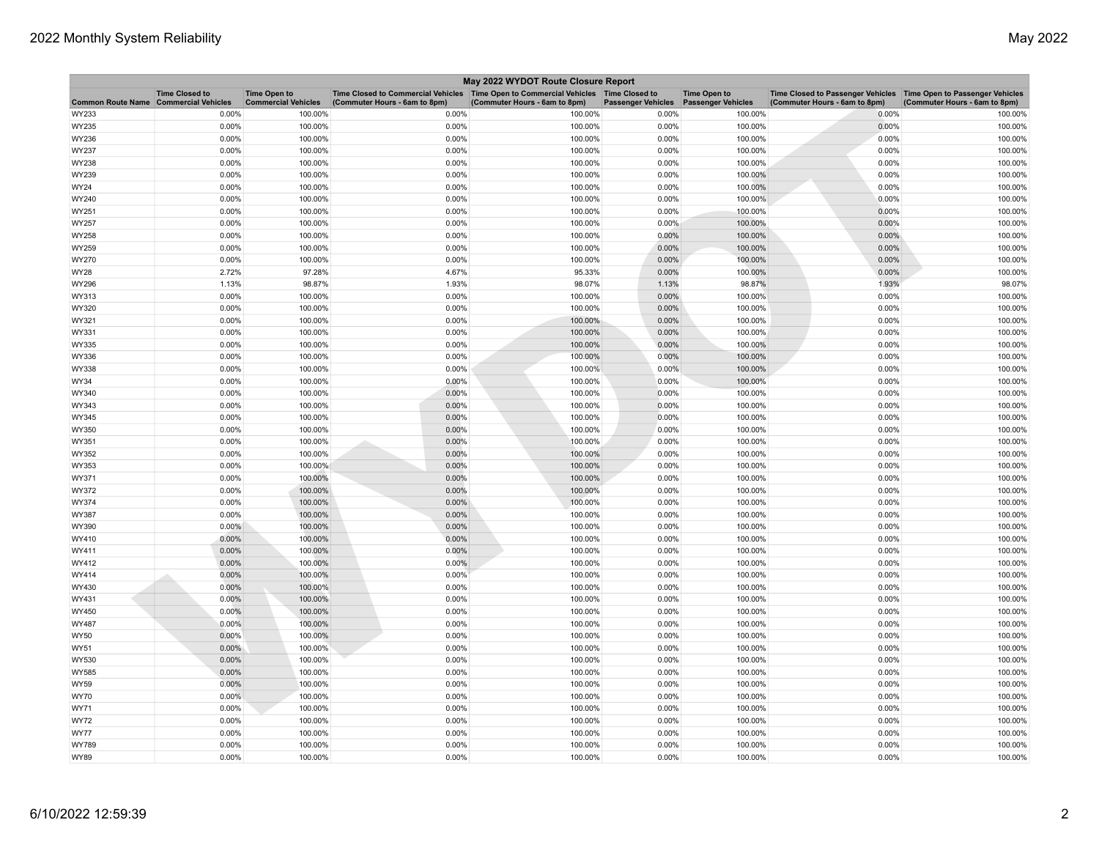| May 2022 WYDOT Route Closure Report          |                       |                                                   |                                                                                                                         |                               |                           |                                                  |                                                                                                      |                               |
|----------------------------------------------|-----------------------|---------------------------------------------------|-------------------------------------------------------------------------------------------------------------------------|-------------------------------|---------------------------|--------------------------------------------------|------------------------------------------------------------------------------------------------------|-------------------------------|
| <b>Common Route Name Commercial Vehicles</b> | <b>Time Closed to</b> | <b>Time Open to</b><br><b>Commercial Vehicles</b> | Time Closed to Commercial Vehicles   Time Open to Commercial Vehicles   Time Closed to<br>(Commuter Hours - 6am to 8pm) | (Commuter Hours - 6am to 8pm) | <b>Passenger Vehicles</b> | <b>Time Open to</b><br><b>Passenger Vehicles</b> | Time Closed to Passenger Vehicles   Time Open to Passenger Vehicles<br>(Commuter Hours - 6am to 8pm) | (Commuter Hours - 6am to 8pm) |
| WY233                                        | 0.00%                 | 100.00%                                           | 0.00%                                                                                                                   | 100.00%                       | 0.00%                     | 100.00%                                          | 0.00%                                                                                                | 100.00%                       |
| WY235                                        | 0.00%                 | 100.00%                                           | 0.00%                                                                                                                   | 100.00%                       | 0.00%                     | 100.00%                                          | 0.00%                                                                                                | 100.00%                       |
| WY236                                        | 0.00%                 | 100.00%                                           | 0.00%                                                                                                                   | 100.00%                       | 0.00%                     | 100.00%                                          | 0.00%                                                                                                | 100.00%                       |
| WY237                                        | 0.00%                 | 100.00%                                           | 0.00%                                                                                                                   | 100.00%                       | 0.00%                     | 100.00%                                          | 0.00%                                                                                                | 100.00%                       |
| WY238                                        | 0.00%                 | 100.00%                                           | 0.00%                                                                                                                   | 100.00%                       | 0.00%                     | 100.00%                                          | 0.00%                                                                                                | 100.00%                       |
| WY239                                        | 0.00%                 | 100.00%                                           | 0.00%                                                                                                                   | 100.00%                       | 0.00%                     | 100.00%                                          | 0.00%                                                                                                | 100.00%                       |
| WY24                                         | 0.00%                 | 100.00%                                           | 0.00%                                                                                                                   | 100.00%                       | 0.00%                     | 100.00%                                          | 0.00%                                                                                                | 100.00%                       |
| WY240                                        | 0.00%                 | 100.00%                                           | 0.00%                                                                                                                   | 100.00%                       | 0.00%                     | 100.00%                                          | 0.00%                                                                                                | 100.00%                       |
| WY251                                        | 0.00%                 | 100.00%                                           | 0.00%                                                                                                                   | 100.00%                       | 0.00%                     | 100.00%                                          | 0.00%                                                                                                | 100.00%                       |
| WY257                                        | 0.00%                 | 100.00%                                           | 0.00%                                                                                                                   | 100.00%                       | 0.00%                     | 100.00%                                          | 0.00%                                                                                                | 100.00%                       |
| WY258                                        | 0.00%                 | 100.00%                                           | 0.00%                                                                                                                   | 100.00%                       | 0.00%                     | 100.00%                                          | 0.00%                                                                                                | 100.00%                       |
| WY259                                        | 0.00%                 | 100.00%                                           | 0.00%                                                                                                                   | 100.00%                       | 0.00%                     | 100.00%                                          | 0.00%                                                                                                | 100.00%                       |
| WY270                                        | 0.00%                 | 100.00%                                           | 0.00%                                                                                                                   | 100.00%                       | 0.00%                     | 100.00%                                          | 0.00%                                                                                                | 100.00%                       |
| <b>WY28</b>                                  | 2.72%                 | 97.28%                                            | 4.67%                                                                                                                   | 95.33%                        | 0.00%                     | 100.00%                                          | 0.00%                                                                                                | 100.00%                       |
| WY296                                        | 1.13%                 | 98.87%                                            | 1.93%                                                                                                                   | 98.07%                        | 1.13%                     | 98.87%                                           | 1.93%                                                                                                | 98.07%                        |
| WY313                                        | 0.00%                 | 100.00%                                           | 0.00%                                                                                                                   | 100.00%                       | 0.00%                     | 100.00%                                          | 0.00%                                                                                                | 100.00%                       |
| WY320                                        | 0.00%                 | 100.00%                                           | 0.00%                                                                                                                   | 100.00%                       | 0.00%                     | 100.00%                                          | 0.00%                                                                                                | 100.00%                       |
| WY321                                        | 0.00%                 | 100.00%                                           | 0.00%                                                                                                                   | 100.00%                       | 0.00%                     | 100.00%                                          | 0.00%                                                                                                | 100.00%                       |
| WY331                                        | 0.00%                 | 100.00%                                           | 0.00%                                                                                                                   | 100.00%                       | 0.00%                     | 100.00%                                          | 0.00%                                                                                                | 100.00%                       |
| WY335                                        | 0.00%                 | 100.00%                                           | 0.00%                                                                                                                   | 100.00%                       | 0.00%                     | 100.00%                                          | 0.00%                                                                                                | 100.00%                       |
| WY336                                        | 0.00%                 | 100.00%                                           | 0.00%                                                                                                                   | 100.00%                       | 0.00%                     | 100.00%                                          | 0.00%                                                                                                | 100.00%                       |
| WY338                                        | 0.00%                 | 100.00%                                           | 0.00%                                                                                                                   | 100.00%                       | 0.00%                     | 100.00%                                          | 0.00%                                                                                                | 100.00%                       |
| <b>WY34</b>                                  | 0.00%                 | 100.00%                                           | 0.00%                                                                                                                   | 100.00%                       | 0.00%                     | 100.00%                                          | 0.00%                                                                                                | 100.00%                       |
| WY340                                        | 0.00%                 | 100.00%                                           | 0.00%                                                                                                                   | 100.00%                       | 0.00%                     | 100.00%                                          | 0.00%                                                                                                | 100.00%                       |
| WY343                                        | 0.00%                 | 100.00%                                           | 0.00%                                                                                                                   | 100.00%                       | 0.00%                     | 100.00%                                          | 0.00%                                                                                                | 100.00%                       |
| WY345                                        | 0.00%                 | 100.00%                                           | 0.00%                                                                                                                   | 100.00%                       | 0.00%                     | 100.00%                                          | 0.00%                                                                                                | 100.00%                       |
| WY350                                        | 0.00%                 | 100.00%                                           | 0.00%                                                                                                                   | 100.00%                       | 0.00%                     | 100.00%                                          | 0.00%                                                                                                | 100.00%                       |
| WY351                                        | 0.00%                 | 100.00%                                           | 0.00%                                                                                                                   | 100.00%                       | 0.00%                     | 100.00%                                          | 0.00%                                                                                                | 100.00%                       |
| WY352                                        | 0.00%                 | 100.00%                                           | 0.00%                                                                                                                   | 100.00%                       | 0.00%                     | 100.00%                                          | 0.00%                                                                                                | 100.00%                       |
| WY353                                        | 0.00%                 | 100.00%                                           | 0.00%                                                                                                                   | 100.00%                       | 0.00%                     | 100.00%                                          | 0.00%                                                                                                | 100.00%                       |
| WY371                                        | 0.00%                 | 100.00%                                           | 0.00%                                                                                                                   | 100.00%                       | 0.00%                     | 100.00%                                          | 0.00%                                                                                                | 100.00%                       |
| WY372                                        | 0.00%                 | 100.00%                                           | 0.00%                                                                                                                   | 100.00%                       | 0.00%                     | 100.00%                                          | 0.00%                                                                                                | 100.00%                       |
| WY374                                        | 0.00%                 | 100.00%                                           | 0.00%                                                                                                                   | 100.00%                       | 0.00%                     | 100.00%                                          | 0.00%                                                                                                | 100.00%                       |
| WY387                                        | 0.00%                 | 100.00%                                           | 0.00%                                                                                                                   | 100.00%                       | 0.00%                     | 100.00%                                          | 0.00%                                                                                                | 100.00%                       |
| WY390                                        | $0.00\%$              | 100.00%                                           | 0.00%                                                                                                                   | 100.00%                       | 0.00%                     | 100.00%                                          | 0.00%                                                                                                | 100.00%                       |
| WY410                                        | 0.00%                 | 100.00%                                           | 0.00%                                                                                                                   | 100.00%                       | 0.00%                     | 100.00%                                          | 0.00%                                                                                                | 100.00%                       |
| WY411                                        | 0.00%                 | 100.00%                                           | 0.00%                                                                                                                   | 100.00%                       | 0.00%                     | 100.00%                                          | 0.00%                                                                                                | 100.00%                       |
| WY412                                        | 0.00%                 | 100.00%                                           | 0.00%                                                                                                                   | 100.00%                       | 0.00%                     | 100.00%                                          | 0.00%                                                                                                | 100.00%                       |
| WY414                                        | $0.00\%$              | 100.00%                                           | 0.00%                                                                                                                   | 100.00%                       | 0.00%                     | 100.00%                                          | 0.00%                                                                                                | 100.00%                       |
| WY430                                        | 0.00%                 | 100.00%                                           | 0.00%                                                                                                                   | 100.00%                       | 0.00%                     | 100.00%                                          | 0.00%                                                                                                | 100.00%                       |
| WY431                                        | 0.00%                 | 100.00%                                           | 0.00%                                                                                                                   | 100.00%                       | 0.00%                     | 100.00%                                          | 0.00%                                                                                                | 100.00%                       |
| WY450                                        | 0.00%                 | 100.00%                                           | 0.00%                                                                                                                   | 100.00%                       | 0.00%                     | 100.00%                                          | 0.00%                                                                                                | 100.00%                       |
| <b>WY487</b>                                 | 0.00%                 | 100.00%                                           | 0.00%                                                                                                                   | 100.00%                       | 0.00%                     | 100.00%                                          | 0.00%                                                                                                | 100.00%                       |
| WY50                                         | 0.00%                 | 100.00%                                           | 0.00%                                                                                                                   | 100.00%                       | 0.00%                     | 100.00%                                          | 0.00%                                                                                                | 100.00%                       |
| WY51                                         | 0.00%                 | 100.00%                                           | 0.00%                                                                                                                   | 100.00%                       | 0.00%                     | 100.00%                                          | 0.00%                                                                                                | 100.00%                       |
| WY530                                        | 0.00%                 | 100.00%                                           | 0.00%                                                                                                                   | 100.00%                       | 0.00%                     | 100.00%                                          | 0.00%                                                                                                | 100.00%                       |
| <b>WY585</b>                                 | 0.00%                 | 100.00%                                           | 0.00%                                                                                                                   | 100.00%                       | 0.00%                     | 100.00%                                          | 0.00%                                                                                                | 100.00%                       |
| <b>WY59</b>                                  | 0.00%                 | 100.00%                                           | 0.00%                                                                                                                   | 100.00%                       | 0.00%                     | 100.00%                                          | 0.00%                                                                                                | 100.00%                       |
| <b>WY70</b>                                  | 0.00%                 | 100.00%                                           | 0.00%                                                                                                                   | 100.00%                       | 0.00%                     | 100.00%                                          | 0.00%                                                                                                | 100.00%                       |
| WY71                                         | 0.00%                 | 100.00%                                           | 0.00%                                                                                                                   | 100.00%                       | 0.00%                     | 100.00%                                          | 0.00%                                                                                                | 100.00%                       |
| <b>WY72</b>                                  | 0.00%                 | 100.00%                                           | 0.00%                                                                                                                   | 100.00%                       | 0.00%                     | 100.00%                                          | 0.00%                                                                                                | 100.00%                       |
| <b>WY77</b>                                  | 0.00%                 | 100.00%                                           | 0.00%                                                                                                                   | 100.00%                       | 0.00%                     | 100.00%                                          | 0.00%                                                                                                | 100.00%                       |
| WY789                                        | 0.00%                 | 100.00%                                           | 0.00%                                                                                                                   | 100.00%                       | 0.00%                     | 100.00%                                          | 0.00%                                                                                                | 100.00%                       |
| <b>WY89</b>                                  | 0.00%                 | 100.00%                                           | 0.00%                                                                                                                   | 100.00%                       | 0.00%                     | 100.00%                                          | 0.00%                                                                                                | 100.00%                       |